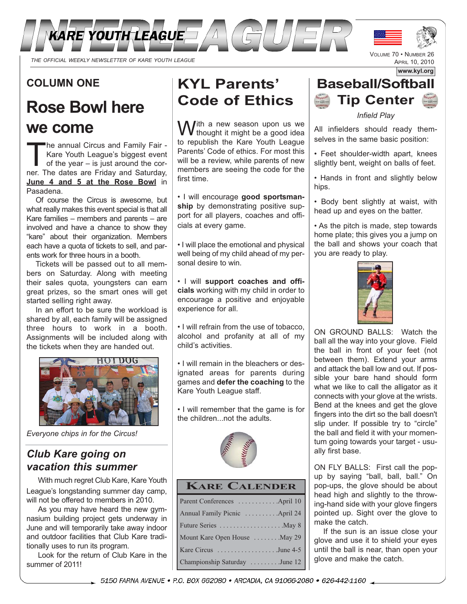

### **COLUMN ONE**

# **Rose Bowl here we come**

The annual Circus and Family Fair -<br>Kare Youth League's biggest event<br>of the year – is just around the cor-<br>ner. The dates are Friday and Saturday Kare Youth League's biggest event ner. The dates are Friday and Saturday, **June 4 and 5 at the Rose Bowl** in Pasadena.

Of course the Circus is awesome, but what really makes this event special is that all Kare families – members and parents – are involved and have a chance to show they "kare" about their organization. Members each have a quota of tickets to sell, and parents work for three hours in a booth.

Tickets will be passed out to all members on Saturday. Along with meeting their sales quota, youngsters can earn great prizes, so the smart ones will get started selling right away.

In an effort to be sure the workload is shared by all, each family will be assigned three hours to work in a booth. Assignments will be included along with the tickets when they are handed out.



*Everyone chips in for the Circus!*

### *Club Kare going on vacation this summer*

With much regret Club Kare, Kare Youth League's longstanding summer day camp, will not be offered to members in 2010.

As you may have heard the new gymnasium building project gets underway in June and will temporarily take away indoor and outdoor facilities that Club Kare traditionally uses to run its program.

Look for the return of Club Kare in the summer of 2011!

# **KYL Parents' Code of Ethics**

With a new season upon us we<br>we thought it might be a good idea to republish the Kare Youth League Parents' Code of ethics. For most this will be a review, while parents of new members are seeing the code for the first time.

• I will encourage **good sportsman**ship by demonstrating positive support for all players, coaches and officials at every game.

• I will place the emotional and physical well being of my child ahead of my personal desire to win.

• I will **support coaches and officials** working with my child in order to encourage a positive and enjoyable experience for all.

• I will refrain from the use of tobacco, alcohol and profanity at all of my child's activities.

• I will remain in the bleachers or designated areas for parents during games and **defer the coaching** to the Kare Youth League staff.

• I will remember that the game is for the children...not the adults.



#### **KARE CALENDER**

| Parent Conferences April 10   |
|-------------------------------|
| Annual Family Picnic April 24 |
| Future Series May 8           |
| Mount Kare Open House  May 29 |
| Kare Circus June 4-5          |
| Championship Saturday June 12 |

### **www.kyl.org Baseball/Softball Tip Center**

VOLUME 70 • NUMBER 26 APRIL 10, 2010

*Infield Play*

All infielders should ready themselves in the same basic position:

• Feet shoulder-width apart, knees slightly bent, weight on balls of feet.

• Hands in front and slightly below hips.

• Body bent slightly at waist, with head up and eyes on the batter.

• As the pitch is made, step towards home plate; this gives you a jump on the ball and shows your coach that you are ready to play.



ON GROUND BALLS: Watch the ball all the way into your glove. Field the ball in front of your feet (not between them). Extend your arms and attack the ball low and out. If possible your bare hand should form what we like to call the alligator as it connects with your glove at the wrists. Bend at the knees and get the glove fingers into the dirt so the ball doesn't slip under. If possible try to "circle" the ball and field it with your momentum going towards your target - usually first base.

ON FLY BALLS: First call the popup by saying "ball, ball, ball." On pop-ups, the glove should be about head high and slightly to the throwing-hand side with your glove fingers pointed up. Sight over the glove to make the catch.

If the sun is an issue close your glove and use it to shield your eyes until the ball is near, than open your glove and make the catch.